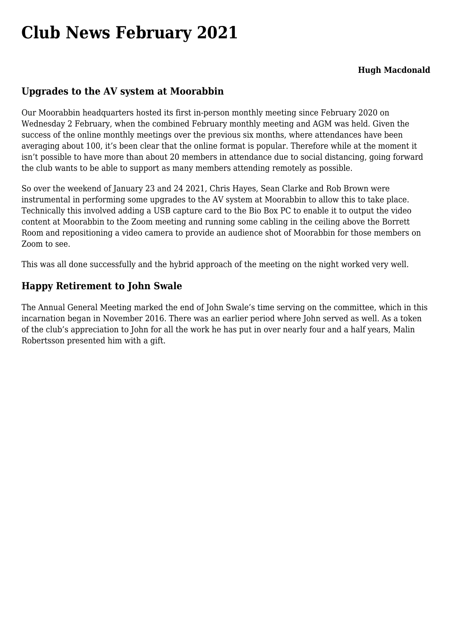# **[Club News February 2021](https://www.melbpc.org.au/club-news-february-2021/)**

#### **Hugh Macdonald**

### **Upgrades to the AV system at Moorabbin**

Our Moorabbin headquarters hosted its first in-person monthly meeting since February 2020 on Wednesday 2 February, when the combined February monthly meeting and AGM was held. Given the success of the online monthly meetings over the previous six months, where attendances have been averaging about 100, it's been clear that the online format is popular. Therefore while at the moment it isn't possible to have more than about 20 members in attendance due to social distancing, going forward the club wants to be able to support as many members attending remotely as possible.

So over the weekend of January 23 and 24 2021, Chris Hayes, Sean Clarke and Rob Brown were instrumental in performing some upgrades to the AV system at Moorabbin to allow this to take place. Technically this involved adding a USB capture card to the Bio Box PC to enable it to output the video content at Moorabbin to the Zoom meeting and running some cabling in the ceiling above the Borrett Room and repositioning a video camera to provide an audience shot of Moorabbin for those members on Zoom to see.

This was all done successfully and the hybrid approach of the meeting on the night worked very well.

### **Happy Retirement to John Swale**

The Annual General Meeting marked the end of John Swale's time serving on the committee, which in this incarnation began in November 2016. There was an earlier period where John served as well. As a token of the club's appreciation to John for all the work he has put in over nearly four and a half years, Malin Robertsson presented him with a gift.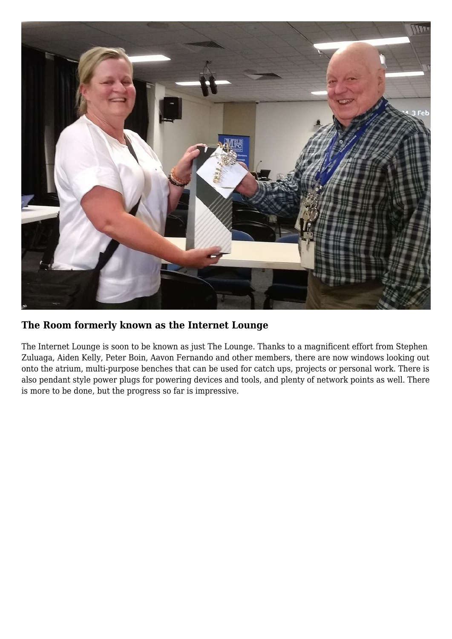

## **The Room formerly known as the Internet Lounge**

The Internet Lounge is soon to be known as just The Lounge. Thanks to a magnificent effort from Stephen Zuluaga, Aiden Kelly, Peter Boin, Aavon Fernando and other members, there are now windows looking out onto the atrium, multi-purpose benches that can be used for catch ups, projects or personal work. There is also pendant style power plugs for powering devices and tools, and plenty of network points as well. There is more to be done, but the progress so far is impressive.